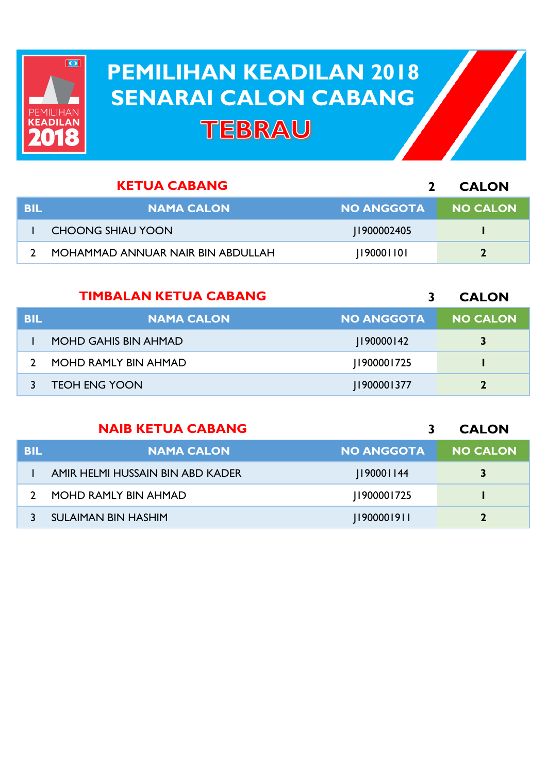

## **PEMILIHAN KEADILAN 2018 PEMILIHAN KEADILAN 2018 SENARAI CALON CABANG SENARAI CALON CABANGTEBRAU**

|     | <b>KETUA CABANG</b>               |                   | <b>CALON</b>    |
|-----|-----------------------------------|-------------------|-----------------|
| BIL | <b>NAMA CALON</b>                 | <b>NO ANGGOTA</b> | <b>NO CALON</b> |
|     | <b>CHOONG SHIAU YOON</b>          | 1900002405        |                 |
|     | MOHAMMAD ANNUAR NAIR BIN ABDULLAH | 1190001101        |                 |

|            | <b>TIMBALAN KETUA CABANG</b> |                   | <b>CALON</b>    |
|------------|------------------------------|-------------------|-----------------|
| <b>BIL</b> | <b>NAMA CALON</b>            | <b>NO ANGGOTA</b> | <b>NO CALON</b> |
|            | <b>MOHD GAHIS BIN AHMAD</b>  | 190000142         | 3               |
|            | MOHD RAMLY BIN AHMAD         | 1900001725        |                 |
|            | <b>TEOH ENG YOON</b>         | 1900001377        |                 |

|            | <b>NAIB KETUA CABANG</b>         |                   | <b>CALON</b>    |
|------------|----------------------------------|-------------------|-----------------|
| <b>BIL</b> | <b>NAMA CALON</b>                | <b>NO ANGGOTA</b> | <b>NO CALON</b> |
|            | AMIR HELMI HUSSAIN BIN ABD KADER | 19000   144       | 3               |
|            | MOHD RAMLY BIN AHMAD             | 1900001725        |                 |
|            | SULAIMAN BIN HASHIM              | 11900001911       |                 |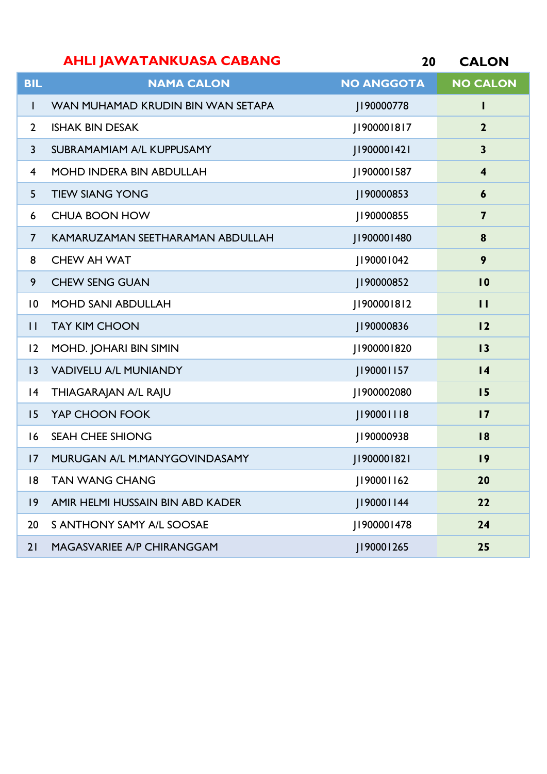|                         | <b>AHLI JAWATANKUASA CABANG</b>   | 20                | <b>CALON</b>            |
|-------------------------|-----------------------------------|-------------------|-------------------------|
| <b>BIL</b>              | <b>NAMA CALON</b>                 | <b>NO ANGGOTA</b> | <b>NO CALON</b>         |
| L                       | WAN MUHAMAD KRUDIN BIN WAN SETAPA | J190000778        | ı                       |
| $\overline{2}$          | <b>ISHAK BIN DESAK</b>            | J1900001817       | $\mathbf{2}$            |
| $\mathsf{3}$            | SUBRAMAMIAM A/L KUPPUSAMY         | J1900001421       | $\mathbf{3}$            |
| $\overline{\mathbf{4}}$ | MOHD INDERA BIN ABDULLAH          | J1900001587       | $\overline{\mathbf{4}}$ |
| 5                       | <b>TIEW SIANG YONG</b>            | J190000853        | $\boldsymbol{6}$        |
| 6                       | <b>CHUA BOON HOW</b>              | J190000855        | 7                       |
| $\overline{7}$          | KAMARUZAMAN SEETHARAMAN ABDULLAH  | J1900001480       | 8                       |
| 8                       | <b>CHEW AH WAT</b>                | J190001042        | 9                       |
| 9                       | <b>CHEW SENG GUAN</b>             | J190000852        | $\overline{10}$         |
| $\overline{10}$         | <b>MOHD SANI ABDULLAH</b>         | J1900001812       | $\mathbf{H}$            |
| $\mathbf{H}$            | <b>TAY KIM CHOON</b>              | J190000836        | 12                      |
| $ 2\rangle$             | MOHD. JOHARI BIN SIMIN            | J1900001820       | 13                      |
| 3                       | <b>VADIVELU A/L MUNIANDY</b>      | J190001157        | $\overline{14}$         |
| 4                       | THIAGARAJAN A/L RAJU              | J1900002080       | 15                      |
| 15                      | YAP CHOON FOOK                    | J190001118        | 17                      |
| 16                      | <b>SEAH CHEE SHIONG</b>           | J190000938        | 8                       |
| 17                      | MURUGAN A/L M.MANYGOVINDASAMY     | J1900001821       | 9                       |
| 18                      | <b>TAN WANG CHANG</b>             | 190001162         | 20                      |
| 9                       | AMIR HELMI HUSSAIN BIN ABD KADER  | J190001144        | 22                      |
| 20                      | S ANTHONY SAMY A/L SOOSAE         | 1900001478        | 24                      |
| 21                      | MAGASVARIEE A/P CHIRANGGAM        | 19000 1265        | 25                      |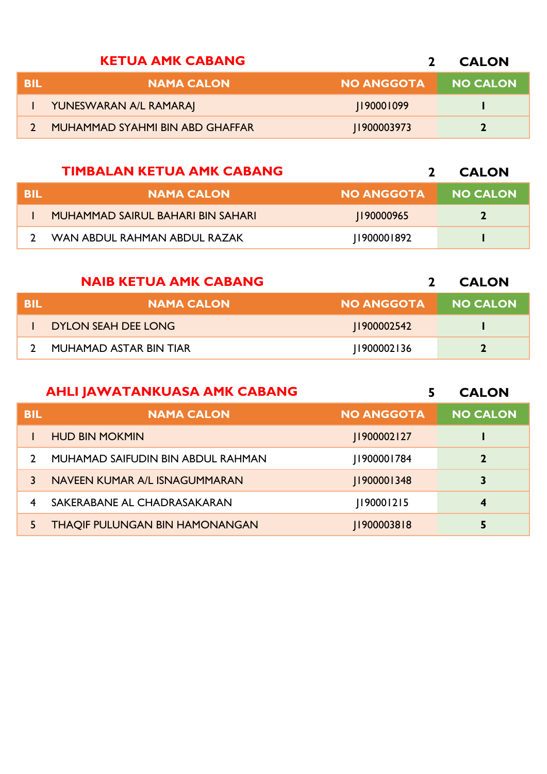|     | <b>KETUA AMK CABANG</b>         |                   | <b>CALON</b>    |
|-----|---------------------------------|-------------------|-----------------|
| BIL | <b>NAMA CALON</b>               | <b>NO ANGGOTA</b> | <b>NO CALON</b> |
|     | YUNESWARAN A/L RAMARAJ          | 190001099         |                 |
|     | MUHAMMAD SYAHMI BIN ABD GHAFFAR | 1900003973        |                 |
|     |                                 |                   |                 |

|            | <b>TIMBALAN KETUA AMK CABANG</b>  |                   | <b>CALON</b>    |
|------------|-----------------------------------|-------------------|-----------------|
| <b>BIL</b> | <b>NAMA CALON</b>                 | <b>NO ANGGOTA</b> | <b>NO CALON</b> |
|            | MUHAMMAD SAIRUL BAHARI BIN SAHARI | 190000965         | $\mathbf{z}$    |
|            | WAN ABDUL RAHMAN ABDUL RAZAK      | 190000 1892       |                 |

|     | <b>NAIB KETUA AMK CABANG</b> |                   | <b>CALON</b>    |
|-----|------------------------------|-------------------|-----------------|
| BIL | <b>NAMA CALON</b>            | <b>NO ANGGOTA</b> | <b>NO CALON</b> |
|     | DYLON SEAH DEE LONG          | 1900002542        |                 |
|     | MUHAMAD ASTAR BIN TIAR       | 1900002136        |                 |

|               | <b>AHLI JAWATANKUASA AMK CABANG</b>   |                   | <b>CALON</b>    |
|---------------|---------------------------------------|-------------------|-----------------|
| <b>BIL</b>    | <b>NAMA CALON</b>                     | <b>NO ANGGOTA</b> | <b>NO CALON</b> |
|               | <b>HUD BIN MOKMIN</b>                 | 1900002127        |                 |
| $\mathcal{P}$ | MUHAMAD SAIFUDIN BIN ABDUL RAHMAN     | 190000 1784       | $\mathbf 2$     |
| 3             | NAVEEN KUMAR A/L ISNAGUMMARAN         | J1900001348       | 3               |
| 4             | SAKERABANE AL CHADRASAKARAN           | 190001215         | 4               |
| 5.            | <b>THAQIF PULUNGAN BIN HAMONANGAN</b> | 11900003818       | 5               |